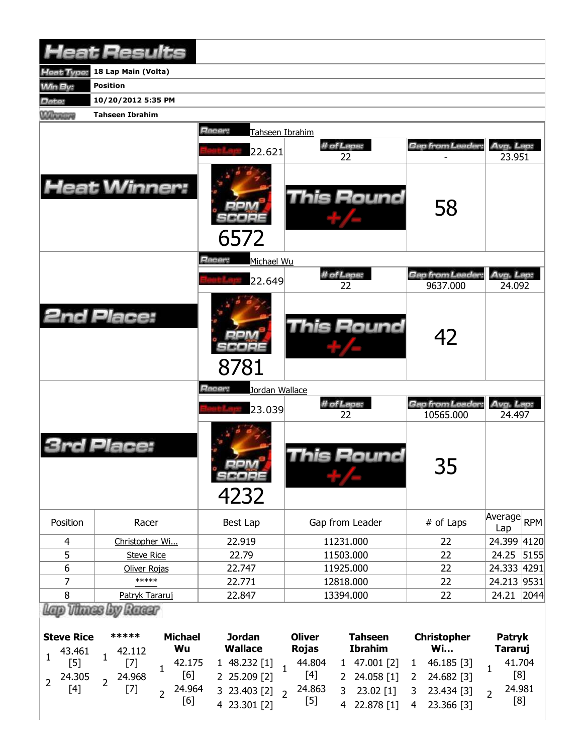|                  | <b>Heat Results</b>    |                                       |                  |                              |                     |            |
|------------------|------------------------|---------------------------------------|------------------|------------------------------|---------------------|------------|
| leat Type:       | 18 Lap Main (Volta)    |                                       |                  |                              |                     |            |
| <b>Win By:</b>   | <b>Position</b>        |                                       |                  |                              |                     |            |
| Date:            | 10/20/2012 5:35 PM     |                                       |                  |                              |                     |            |
| <b>Winners</b>   | <b>Tahseen Ibrahim</b> |                                       |                  |                              |                     |            |
|                  |                        | Racer:<br>Tahseen Ibrahim             |                  |                              |                     |            |
|                  |                        | 22.621                                | # of Laps:<br>22 | Gap from Leader:             | Avg. Lap:<br>23.951 |            |
|                  | <b>Heat Winner:</b>    | 6572                                  | This Round       | 58                           |                     |            |
|                  |                        | <b>Racer:</b><br>Michael Wu<br>22.649 | # of Laps:       | <b>Gap from Leader:</b>      | Avg. Lap:           |            |
|                  | <b>2nd Place:</b>      | 8781                                  | 22<br>This Round | 9637.000<br>42               | 24.092              |            |
|                  |                        | Racer:<br>Jordan Wallace              |                  |                              |                     |            |
|                  |                        | 23.039                                | # of Laps:<br>22 | Gap from Leader<br>10565.000 | Avg. Lap:<br>24.497 |            |
|                  | Place:                 | <b>MR</b> 14<br>SCOPE<br>4232         | This Round       | 35                           |                     |            |
| Position         | Racer                  | Best Lap                              | Gap from Leader  | # of Laps                    | Average<br>Lap      | <b>RPM</b> |
| 4                | Christopher Wi         | 22.919                                | 11231.000        | 22                           | 24.399 4120         |            |
| 5                | <b>Steve Rice</b>      | 22.79                                 | 11503.000        | 22                           | 24.25               | 5155       |
| $\boldsymbol{6}$ | Oliver Rojas           | 22.747                                | 11925.000        | 22                           | 24.333 4291         |            |
| $\overline{7}$   | *****                  | 22.771                                | 12818.000        | 22                           | 24.213 9531         |            |
| $\bf 8$          | Patryk Tararuj         | 22.847                                | 13394.000        | 22                           | 24.21               | 2044       |
|                  | Lap Thues by Racer     |                                       |                  |                              |                     |            |

| <b>Steve Rice</b> |                                                | ***** |  |        |                                         | <b>Michael</b> | <b>Jordan</b>                   | <b>Oliver</b> | <b>Tahseen</b> | <b>Christopher</b> | <b>Patryk</b> |
|-------------------|------------------------------------------------|-------|--|--------|-----------------------------------------|----------------|---------------------------------|---------------|----------------|--------------------|---------------|
|                   |                                                |       |  | Wu     | Wallace                                 | <b>Rojas</b>   | <b>Ibrahim</b>                  | <b>Wi</b>     | <b>Tararuj</b> |                    |               |
|                   | $1 \t 43.461 \t 1 \t 42.112$<br>[5] $1 \t [7]$ |       |  | 42.175 | 1 48.232 [1] $_1$ 44.804 1 47.001 [2] 1 |                |                                 | 46.185 [3]    | 41.704         |                    |               |
|                   | 2 $^{24.305}$ 2 $^{24.968}$<br>[4] 2 [7]       |       |  | [6]    | 2 25.209 [2]                            |                | $[4]$ 2 24.058 [1] 2 24.682 [3] |               | [8]            |                    |               |
|                   |                                                |       |  | 24.964 | 3 23.403 [2] $\sqrt{2}$                 | 24.863         | $3\quad 23.02\ [1]$             | 3 23.434 [3]  | 24.981         |                    |               |
|                   |                                                |       |  | [6]    | 4 23.301 [2]                            | $[5]$          | 4 22.878 [1]                    | 4 23.366 [3]  | [8]            |                    |               |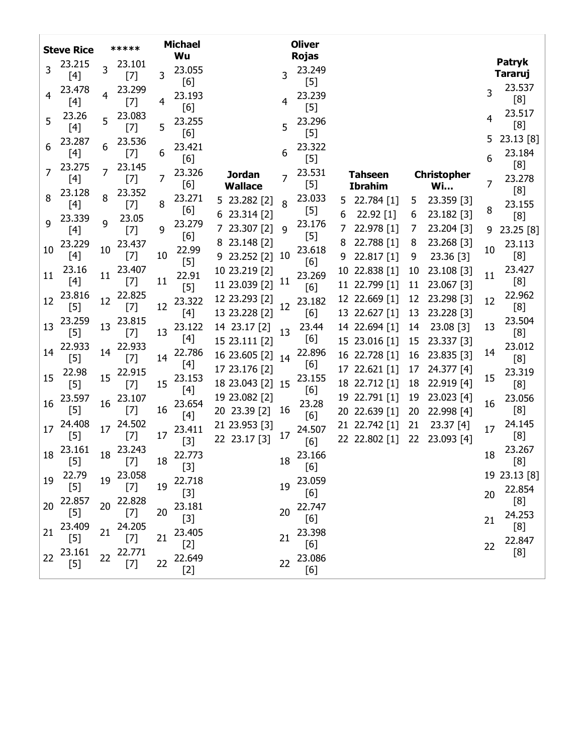|    | <b>Steve Rice</b> |    | *****                                                                                                                                                                                                                                                                                                                                                                                                                                                                                                            |    | <b>Michael</b><br>Wu |                                  |                | <b>Oliver</b><br><b>Rojas</b> |          |                                |          |                                 |        |                                 |
|----|-------------------|----|------------------------------------------------------------------------------------------------------------------------------------------------------------------------------------------------------------------------------------------------------------------------------------------------------------------------------------------------------------------------------------------------------------------------------------------------------------------------------------------------------------------|----|----------------------|----------------------------------|----------------|-------------------------------|----------|--------------------------------|----------|---------------------------------|--------|---------------------------------|
| 3  | 23.215<br>[4]     | 3  | 23.101<br>$[7]$                                                                                                                                                                                                                                                                                                                                                                                                                                                                                                  | 3  | 23.055               |                                  | 3              | 23.249                        |          |                                |          |                                 |        | <b>Patryk</b><br><b>Tararuj</b> |
| 4  | 23.478<br>[4]     | 4  | 23.299<br>$[7]$                                                                                                                                                                                                                                                                                                                                                                                                                                                                                                  | 4  | [6]<br>23.193<br>[6] |                                  | 4              | $[5]$<br>23.239<br>$[5]$      |          |                                |          |                                 | 3      | 23.537<br>[8]                   |
| 5  | 23.26<br>[4]      | 5  | 23.083<br>$[7]$                                                                                                                                                                                                                                                                                                                                                                                                                                                                                                  | 5  | 23.255<br>[6]        |                                  | 5              | 23.296<br>$[5]$               |          |                                |          |                                 | 4      | 23.517<br>[8]                   |
| 6  | 23.287<br>[4]     | 6  | 23.536<br>$[7]$                                                                                                                                                                                                                                                                                                                                                                                                                                                                                                  | 6  | 23.421<br>[6]        |                                  | 6              | 23.322<br>$[5]$               |          |                                |          |                                 | 5<br>6 | 23.13 [8]<br>23.184             |
| 7  | 23.275<br>[4]     |    | 23.145<br>$[7]$                                                                                                                                                                                                                                                                                                                                                                                                                                                                                                  | 7  | 23.326<br>[6]        | <b>Jordan</b><br><b>Wallace</b>  | $\overline{7}$ | 23.531<br>$[5]$               |          | Tahseen<br><b>Ibrahim</b>      |          | <b>Christopher</b><br><b>Wi</b> | 7      | [8]<br>23.278                   |
| 8  | 23.128<br>[4]     | 8  | 23.352<br>$[7]$                                                                                                                                                                                                                                                                                                                                                                                                                                                                                                  | 8  | 23.271<br>[6]        | 5 23.282 [2]                     | 8              | 23.033<br>$[5]$               | 5.       | 22.784 [1]                     | 5        | 23.359 [3]                      | 8      | [8]<br>23.155                   |
| 9  | 23.339<br>[4]     | 9  | 23.05<br>$[7]$                                                                                                                                                                                                                                                                                                                                                                                                                                                                                                   | 9  | 23.279<br>[6]        | 6 23.314 [2]<br>23.307 [2]       | 9              | 23.176<br>$[5]$               | 6        | 22.92 [1]<br>22.978 [1]        | 6<br>7   | 23.182 [3]<br>23.204 [3]        | 9      | [8]<br>23.25 [8]                |
| 10 | 23.229<br>[4]     | 10 | 23.437<br>$[7]$                                                                                                                                                                                                                                                                                                                                                                                                                                                                                                  | 10 | 22.99<br>$[5]$       | 8 23.148 [2]<br>$9$ 23.252 $[2]$ | 10             | 23.618<br>[6]                 | 8<br>9   | 22.788 [1]<br>22.817 [1]       | 8<br>9   | 23.268 [3]<br>23.36 [3]         | 10     | 23.113<br>[8]                   |
| 11 | 23.16<br>[4]      | 11 | 23.407<br>$[7]$                                                                                                                                                                                                                                                                                                                                                                                                                                                                                                  | 11 | 22.91<br>$[5]$       | 10 23.219 [2]<br>11 23.039 [2]   | 11             | 23.269<br>[6]                 | 10<br>11 | 22.838 [1]<br>22.799 [1]       | 10<br>11 | 23.108 [3]<br>23.067 [3]        | 11     | 23.427<br>[8]                   |
| 12 | 23.816<br>$[5]$   | 12 | 22.825<br>$[7]$                                                                                                                                                                                                                                                                                                                                                                                                                                                                                                  | 12 | 23.322<br>$[4]$      | 12 23.293 [2]<br>13 23.228 [2]   | 12             | 23.182<br>[6]                 | 12       | 22.669 [1]<br>13 22.627 [1]    | 12<br>13 | 23.298 [3]<br>23.228 [3]        | 12     | 22.962<br>[8]                   |
| 13 | 23.259<br>$[5]$   | 13 | 23.815<br>$[7]$                                                                                                                                                                                                                                                                                                                                                                                                                                                                                                  | 13 | 23.122<br>[4]        | 14 23.17 [2]<br>15 23.111 [2]    | 13             | 23.44<br>[6]                  |          | 14 22.694 [1]                  | 14       | 23.08 [3]                       | 13     | 23.504<br>[8]                   |
| 14 | 22.933<br>$[5]$   | 14 | 22.933<br>$[7]$                                                                                                                                                                                                                                                                                                                                                                                                                                                                                                  | 14 | 22.786<br>[4]        | 16 23.605 [2]                    | 14             | 22.896<br>[6]                 |          | 15 23.016 [1]<br>16 22.728 [1] | 15<br>16 | 23.337 [3]<br>23.835 [3]        | 14     | 23.012<br>[8]                   |
| 15 | 22.98<br>$[5]$    | 15 | 22.915<br>$[7]$                                                                                                                                                                                                                                                                                                                                                                                                                                                                                                  | 15 | 23.153<br>$[4]$      | 17 23.176 [2]<br>18 23.043 [2]   | 15             | 23.155<br>[6]                 | 17       | $22.621$ [1]<br>18 22.712 [1]  | 17<br>18 | 24.377 [4]<br>22.919 [4]        | 15     | 23.319<br>[8]                   |
| 16 | 23.597<br>$[5]$   | 16 | 23.107<br>$[7]$                                                                                                                                                                                                                                                                                                                                                                                                                                                                                                  | 16 | 23.654<br>$[4]$      | 19 23.082 [2]<br>20 23.39 [2]    | 16             | 23.28<br>[6]                  | 19       | $22.791$ [1]<br>20 22.639 [1]  | 19<br>20 | 23.023 [4]<br>22.998 [4]        | 16     | 23.056<br>[8]                   |
| 17 | 24.408<br>$[5]$   | 17 | 24.502<br>$[7]$                                                                                                                                                                                                                                                                                                                                                                                                                                                                                                  | 17 | 23.411<br>$[3]$      | 21 23.953 [3]<br>22 23.17 [3]    | 17             | 24.507<br>[6]                 | 21       | 22.742 [1]<br>22 22.802 [1]    | 21<br>22 | 23.37 [4]<br>23.093 [4]         | 17     | 24.145<br>[8]                   |
| 18 | 23.161<br>$[5]$   | 18 | 23.243<br>$[7] \centering% \includegraphics[width=1\textwidth]{images/TransY.pdf} \caption{The first two different values of $d=3$ and $d=4$ (left) and $d=5$ (right) and $d=6$ (right) and $d=6$ (right) and $d=6$ (right) and $d=6$ (right) and $d=6$ (right) and $d=6$ (right) and $d=6$ (right) and $d=6$ (right) and $d=6$ (right) and $d=6$ (right) and $d=6$ (right) and $d=6$ (right) and $d=6$ (right) and $d=6$ (right) and $d=6$ (right) and $d=6$ (right) and $d=6$ (right) and $d=6$ (right) and $$ | 18 | 22.773<br>$[3]$      |                                  | 18             | 23.166<br>[6]                 |          |                                |          |                                 | 18     | 23.267<br>[8]                   |
| 19 | 22.79<br>$[5]$    | 19 | 23.058<br>$[7]$                                                                                                                                                                                                                                                                                                                                                                                                                                                                                                  | 19 | 22.718<br>$[3]$      |                                  | 19             | 23.059<br>[6]                 |          |                                |          |                                 | 20     | 19 23.13 [8]<br>22.854          |
| 20 | 22.857<br>$[5]$   | 20 | 22.828<br>$[7]$                                                                                                                                                                                                                                                                                                                                                                                                                                                                                                  | 20 | 23.181<br>$[3]$      |                                  | 20             | 22.747<br>[6]                 |          |                                |          |                                 | 21     | [8]<br>24.253                   |
| 21 | 23.409<br>$[5]$   | 21 | 24.205<br>$[7]$                                                                                                                                                                                                                                                                                                                                                                                                                                                                                                  | 21 | 23.405<br>$[2]$      |                                  | 21             | 23.398<br>[6]                 |          |                                |          |                                 | 22     | [8]<br>22.847                   |
| 22 | 23.161<br>$[5]$   | 22 | 22.771<br>$[7]$                                                                                                                                                                                                                                                                                                                                                                                                                                                                                                  | 22 | 22.649<br>$[2]$      |                                  | 22             | 23.086<br>[6]                 |          |                                |          |                                 |        | [8]                             |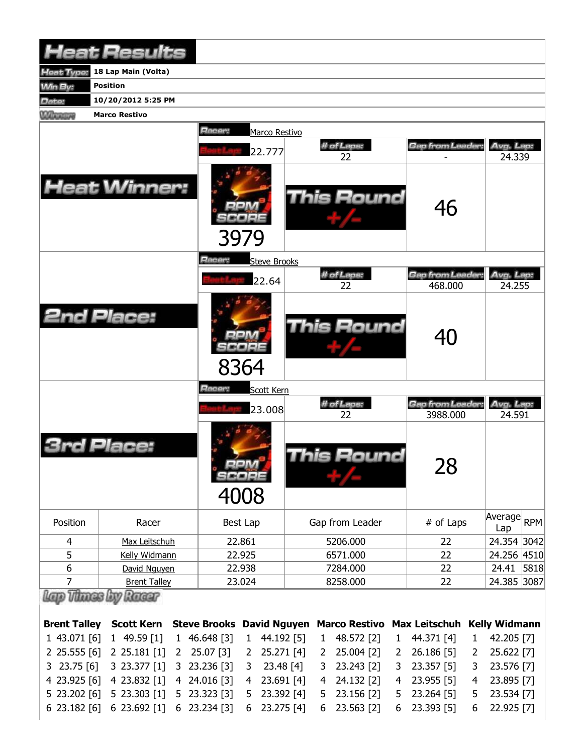|                     | <b>Heat Results</b>            |                                  |                              |                |                      |              |                             |              |                                               |      |
|---------------------|--------------------------------|----------------------------------|------------------------------|----------------|----------------------|--------------|-----------------------------|--------------|-----------------------------------------------|------|
| leat Type:          | 18 Lap Main (Volta)            |                                  |                              |                |                      |              |                             |              |                                               |      |
| <b>Win By:</b>      | <b>Position</b>                |                                  |                              |                |                      |              |                             |              |                                               |      |
| Date:               | 10/20/2012 5:25 PM             |                                  |                              |                |                      |              |                             |              |                                               |      |
| <b>Winnipeg</b>     | <b>Marco Restivo</b>           |                                  |                              |                |                      |              |                             |              |                                               |      |
|                     |                                | Racer:                           | Marco Restivo                |                |                      |              |                             |              |                                               |      |
|                     |                                |                                  |                              |                | # of Laps:           |              | Gap from Leader:            |              | Avg. Lap:                                     |      |
|                     |                                |                                  | 22.777                       |                | 22                   |              |                             |              | 24.339                                        |      |
|                     | <b>Heat Winner:</b>            |                                  | 3979                         |                | This Round           |              | 46                          |              |                                               |      |
|                     |                                | Racer:                           | <b>Steve Brooks</b>          |                |                      |              |                             |              |                                               |      |
|                     |                                |                                  | 22.64                        |                | # of Laps:<br>22     |              | Gap from Leader:<br>468.000 |              | Avg. Lap:<br>24.255                           |      |
|                     | <b>2nd Place:</b>              |                                  | 8364                         |                | This Round           |              | 40                          |              |                                               |      |
|                     |                                | Racer:                           | Scott Kern                   |                |                      |              |                             |              |                                               |      |
|                     |                                |                                  | 23.008                       |                | # of Laps:<br>22     |              | Gap from Leader<br>3988.000 |              | Avg. Lap:<br>24.591                           |      |
|                     | Place:                         |                                  | $m \lambda$<br>scoee<br>4008 |                | This Round           |              | 28                          |              |                                               |      |
| Position            | Racer                          |                                  | Best Lap                     |                | Gap from Leader      |              | # of Laps                   |              | $\sqrt{\text{Average}}$ <sub>RPM</sub><br>Lap |      |
| 4                   | Max Leitschuh                  |                                  | 22.861                       |                | 5206.000             |              | 22                          |              | 24.354 3042                                   |      |
| 5                   | Kelly Widmann                  |                                  | 22.925                       |                | 6571.000             |              | 22                          |              | 24.256 4510                                   |      |
| 6                   | David Nguyen                   |                                  | 22.938                       |                | 7284.000             |              | 22                          |              | 24.41                                         | 5818 |
| 7                   | <b>Brent Talley</b>            |                                  | 23.024                       |                | 8258.000             |              | 22                          |              | 24.385 3087                                   |      |
| Lero Vitross        | Racer                          |                                  |                              |                |                      |              |                             |              |                                               |      |
| <b>Brent Talley</b> | <b>Scott Kern</b>              | <b>Steve Brooks David Nguyen</b> |                              |                | <b>Marco Restivo</b> |              | <b>Max Leitschuh</b>        |              | <b>Kelly Widmann</b>                          |      |
| 1 43.071 [6]        | 149.59[1]                      | 1 46.648 [3]                     | 44.192 [5]<br>1              | $\mathbf{1}$   | 48.572 [2]           | $\mathbf{1}$ | 44.371 [4]                  | $\mathbf{1}$ | 42.205 [7]                                    |      |
| $2$ 25.555 [6]      | 2 25.181 [1]<br>2 <sup>1</sup> | 25.07 [3]                        | 25.271 [4]<br>$\mathbf{2}$   | 2              | 25.004 [2]           | 2            | 26.186 [5]                  | 2            | 25.622 [7]                                    |      |
| $3$ 23.75 [6]       | 3 23.377 [1]                   | 3 23.236 [3]                     | 23.48 [4]<br>3               | 3              | 23.243 [2]           | 3            | 23.357 [5]                  | 3            | 23.576 [7]                                    |      |
| 4 23.925 [6]        | 4 23.832 [1]                   | 4 24.016 [3]                     | 23.691 [4]<br>$\overline{4}$ | $\overline{4}$ | 24.132 [2]           | 4            | 23.955 [5]                  | 4            | 23.895 [7]                                    |      |

5 23.202 [6] 6 23.182 [6] 5 23.303 [1] 6 23.692 [1] 5 23.323 [3] 6 23.234 [3] 5 23.392 [4] 6 23.275 [4] 5 23.156 [2] 6 23.563 [2] 5 23.264 [5] 6 23.393 [5] 5 23.534 [7] 6 22.925 [7]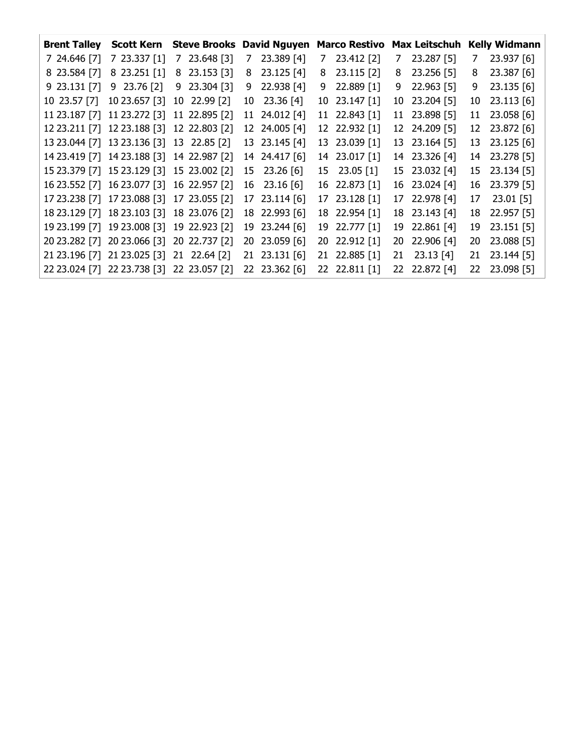|              |                          | <b>Brent Talley Scott Kern Steve Brooks</b> |    | <b>David Nguyen</b> | <b>Marco Restivo</b> | <b>Max Leitschuh</b> |    | <b>Kelly Widmann</b> |
|--------------|--------------------------|---------------------------------------------|----|---------------------|----------------------|----------------------|----|----------------------|
| 7 24.646 [7] | 7 23.337 [1]             | 7 23.648 [3]                                | 7  | 23.389 [4]          | 7 23.412 [2]         | 7 23.287 [5]         | 7  | 23.937 [6]           |
| 8 23.584 [7] | 8 23.251 [1]             | 8 23.153 [3]                                | 8  | $23.125$ [4]        | 8 23.115 [2]         | 8 23.256 [5]         | 8  | 23.387 [6]           |
|              | 9 23.131 [7] 9 23.76 [2] | 9 23.304 [3]                                | 9. | 22.938 [4]          | 9 22.889 [1]         | 9 22.963 [5]         | 9  | 23.135 [6]           |
| 10 23.57 [7] | 10 23.657 [3]            | 10 22.99 [2]                                |    | 10 23.36 [4]        | 10 23.147 [1]        | 10 23.204 [5]        | 10 | 23.113 [6]           |
|              |                          | 11 23.187 [7] 11 23.272 [3] 11 22.895 [2]   |    | 11 24.012 [4]       | 11 22.843 [1]        | 11 23.898 [5]        |    | 11 23.058 [6]        |
|              |                          | 12 23.211 [7] 12 23.188 [3] 12 22.803 [2]   |    | 12 24.005 [4]       | 12 22.932 [1]        | 12 24.209 [5]        |    | 12 23.872 [6]        |
|              |                          | 13 23.044 [7] 13 23.136 [3] 13 22.85 [2]    |    | 13 23.145 [4]       | 13 23.039 [1]        | 13 23.164 [5]        |    | 13 23.125 [6]        |
|              |                          | 14 23.419 [7] 14 23.188 [3] 14 22.987 [2]   |    | 14 24.417 [6]       | 14 23.017 [1]        | 14 23.326 [4]        |    | 14 23.278 [5]        |
|              |                          | 15 23.379 [7] 15 23.129 [3] 15 23.002 [2]   |    | 15 23.26 [6]        | 15 23.05 [1]         | 15 23.032 [4]        |    | 15 23.134 [5]        |
|              |                          | 16 23.552 [7] 16 23.077 [3] 16 22.957 [2]   |    | 16 23.16 [6]        | 16 22.873 [1]        | 16 23.024 [4]        |    | 16 23.379 [5]        |
|              |                          | 17 23.238 [7] 17 23.088 [3] 17 23.055 [2]   |    | 17 23.114 [6]       | 17 23.128 [1]        | 17 22.978 [4]        |    | 17 23.01 [5]         |
|              |                          | 18 23.129 [7] 18 23.103 [3] 18 23.076 [2]   |    | 18 22.993 [6]       | 18 22.954 [1]        | 18 23.143 [4]        |    | 18 22.957 [5]        |
|              |                          | 19 23.199 [7] 19 23.008 [3] 19 22.923 [2]   |    | 19 23.244 [6]       | 19 22.777 [1]        | 19 22.861 [4]        | 19 | 23.151 [5]           |
|              |                          | 20 23.282 [7] 20 23.066 [3] 20 22.737 [2]   |    | 20 23.059 [6]       | 20 22.912 [1]        | 20 22.906 [4]        | 20 | 23.088 [5]           |
|              |                          | 21 23.196 [7] 21 23.025 [3] 21 22.64 [2]    |    | 21 23.131 [6]       | 21 22.885 [1]        | 21 23.13 [4]         | 21 | 23.144 [5]           |
|              |                          | 22 23.024 [7] 22 23.738 [3] 22 23.057 [2]   |    | 22 23.362 [6]       | 22 22.811 [1]        | 22 22.872 [4]        |    | 22 23.098 [5]        |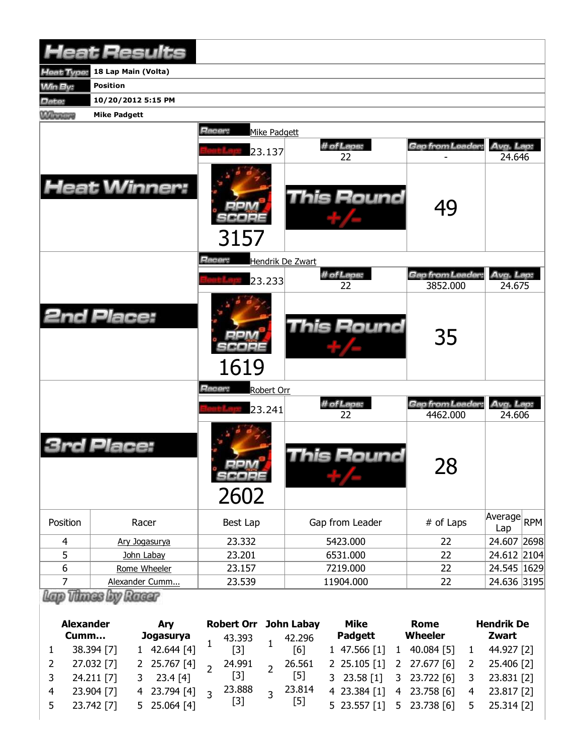|                | <b>Heat Results</b> |                                   |                  |                             |                     |
|----------------|---------------------|-----------------------------------|------------------|-----------------------------|---------------------|
| leat Type:     | 18 Lap Main (Volta) |                                   |                  |                             |                     |
| Win By:        | <b>Position</b>     |                                   |                  |                             |                     |
| Date:          | 10/20/2012 5:15 PM  |                                   |                  |                             |                     |
| <b>Winning</b> | <b>Mike Padgett</b> |                                   |                  |                             |                     |
|                |                     | Racer:<br>Mike Padgett            |                  |                             |                     |
|                |                     | 23.137                            | # of Laps:<br>22 | Gap from Leader:            | Avg. Lap:<br>24.646 |
|                | <b>Heat Winner:</b> | 3157                              | This Round       | 49                          |                     |
|                |                     | <b>Racer:</b><br>Hendrik De Zwart |                  |                             |                     |
|                |                     | 23.233                            | # of Laps:       | Gap from Leader.            | Avg. Lap:           |
|                |                     |                                   | 22               | 3852.000                    | 24.675              |
|                | <b>2nd Place:</b>   | 1619                              | This Round       | 35                          |                     |
|                |                     | Racer:<br>Robert Orr              |                  |                             |                     |
|                |                     | 23.241                            | # of Laps:<br>22 | Gap from Leader<br>4462.000 | Avg. Lap:<br>24.606 |
|                | Place:              | SCORE<br>2602                     | This Round       | 28                          |                     |
| Position       | Racer               | Best Lap                          | Gap from Leader  | # of Laps                   | Average RPM<br>Lap  |
| 4              | Ary Jogasurya       | 23.332                            | 5423.000         | 22                          | 24.607 2698         |
| 5              | John Labay          | 23.201                            | 6531.000         | 22                          | 24.612 2104         |
| 6              | Rome Wheeler        | 23.157                            | 7219.000         | 22                          | 24.545   1629       |
| $\overline{7}$ | Alexander Cumm      | 23.539                            | 11904.000        | 22                          | 24.636 3195         |
|                | Thues by Russe      |                                   |                  |                             |                     |

| <b>Alexander</b><br>Cumm |            | <b>Arv</b><br>Jogasurya |                | 43.393         |                   | <b>Robert Orr John Labay</b><br>42.296 |        | Mike<br><b>Padgett</b> |              | Rome<br>Wheeler                        | <b>Hendrik De</b><br>Zwart |              |
|--------------------------|------------|-------------------------|----------------|----------------|-------------------|----------------------------------------|--------|------------------------|--------------|----------------------------------------|----------------------------|--------------|
|                          | 38.394 [7] |                         | 1 42.644 [4]   |                | $\lceil 3 \rceil$ |                                        | [6]    |                        | 147.566[1]   | 1 40.084 [5]                           |                            | 44.927 [2]   |
| 2                        | 27.032 [7] |                         | 2 25.767 [4]   |                | 24.991            | $\overline{1}$                         | 26.561 |                        |              | 2 25.105 [1] 2 27.677 [6]              | $\overline{2}$             | 25.406 [2]   |
|                          | 24.211 [7] |                         | $3$ 23.4 [4]   |                | $[3]$             |                                        | [5]    |                        |              | 3 23.58 [1] 3 23.722 [6] 3 23.831 [2]  |                            |              |
|                          | 23.904 [7] |                         | 4 23.794 [4]   | $\overline{z}$ | 23.888            | $\overline{z}$                         | 23.814 |                        | 4 23.384 [1] | 4 23.758 [6]                           |                            | 4 23.817 [2] |
| 5                        | 23.742 [7] |                         | $5$ 25.064 [4] |                | $[3]$             |                                        | $[5]$  |                        |              | 5 23.557 [1] 5 23.738 [6] 5 25.314 [2] |                            |              |